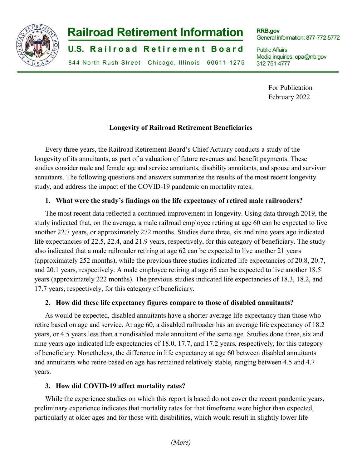

# **-1- Railroad Retirement Information**

**U.S. Railroad Retirement Board** 

844 North Rush Street Chicago, Illinois 60611-1275

**RRB.gov** General information: 877-772-5772

Public Affairs Media inquiries: opa@rrb.gov 312-751-4777

> For Publication February 2022

## **Longevity of Railroad Retirement Beneficiaries**

Every three years, the Railroad Retirement Board's Chief Actuary conducts a study of the longevity of its annuitants, as part of a valuation of future revenues and benefit payments. These studies consider male and female age and service annuitants, disability annuitants, and spouse and survivor annuitants. The following questions and answers summarize the results of the most recent longevity study, and address the impact of the COVID-19 pandemic on mortality rates.

# **1. What were the study's findings on the life expectancy of retired male railroaders?**

The most recent data reflected a continued improvement in longevity. Using data through 2019, the study indicated that, on the average, a male railroad employee retiring at age 60 can be expected to live another 22.7 years, or approximately 272 months. Studies done three, six and nine years ago indicated life expectancies of 22.5, 22.4, and 21.9 years, respectively, for this category of beneficiary. The study also indicated that a male railroader retiring at age 62 can be expected to live another 21 years (approximately 252 months), while the previous three studies indicated life expectancies of 20.8, 20.7, and 20.1 years, respectively. A male employee retiring at age 65 can be expected to live another 18.5 years (approximately 222 months). The previous studies indicated life expectancies of 18.3, 18.2, and 17.7 years, respectively, for this category of beneficiary.

## **2. How did these life expectancy figures compare to those of disabled annuitants?**

As would be expected, disabled annuitants have a shorter average life expectancy than those who retire based on age and service. At age 60, a disabled railroader has an average life expectancy of 18.2 years, or 4.5 years less than a nondisabled male annuitant of the same age. Studies done three, six and nine years ago indicated life expectancies of 18.0, 17.7, and 17.2 years, respectively, for this category of beneficiary. Nonetheless, the difference in life expectancy at age 60 between disabled annuitants and annuitants who retire based on age has remained relatively stable, ranging between 4.5 and 4.7 years.

## **3. How did COVID-19 affect mortality rates?**

While the experience studies on which this report is based do not cover the recent pandemic years, preliminary experience indicates that mortality rates for that timeframe were higher than expected, particularly at older ages and for those with disabilities, which would result in slightly lower life